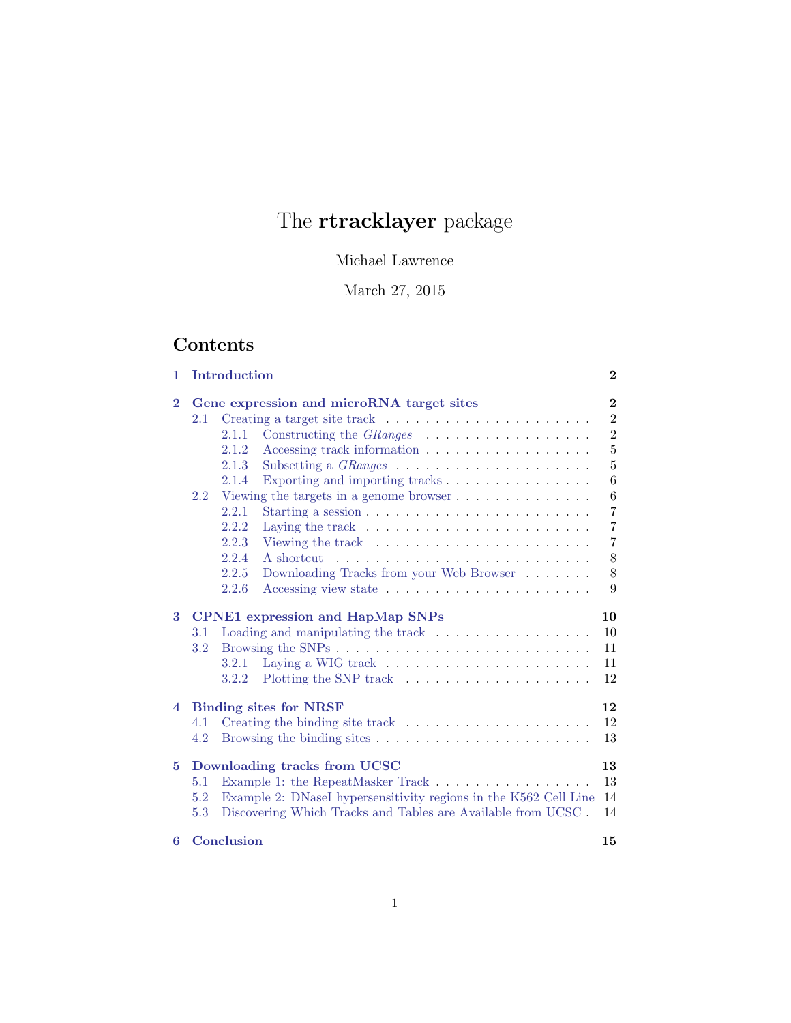# The **rtracklayer** package

# Michael Lawrence

# March 27, 2015

# Contents

| 1.                                                    |                                                                          | Introduction                                                                                                       | $\bf{2}$                |  |  |  |
|-------------------------------------------------------|--------------------------------------------------------------------------|--------------------------------------------------------------------------------------------------------------------|-------------------------|--|--|--|
| $\bf{2}$<br>Gene expression and microRNA target sites |                                                                          |                                                                                                                    |                         |  |  |  |
|                                                       | 2.1                                                                      | Creating a target site track $\ldots \ldots \ldots \ldots \ldots \ldots$                                           | $\overline{2}$          |  |  |  |
|                                                       |                                                                          | Constructing the <i>GRanges</i><br>2.1.1                                                                           | $\overline{2}$          |  |  |  |
|                                                       |                                                                          | Accessing track information $\ldots \ldots \ldots \ldots \ldots \ldots$<br>2.1.2                                   | $\overline{5}$          |  |  |  |
|                                                       |                                                                          | 2.1.3                                                                                                              | $\overline{5}$          |  |  |  |
|                                                       |                                                                          | Exporting and importing tracks $\dots \dots \dots \dots \dots$<br>2.1.4                                            | $\overline{6}$          |  |  |  |
|                                                       | Viewing the targets in a genome browser $\dots \dots \dots \dots$<br>2.2 |                                                                                                                    |                         |  |  |  |
|                                                       |                                                                          | 2.2.1                                                                                                              | $\,6$<br>$\overline{7}$ |  |  |  |
|                                                       |                                                                          | 2.2.2<br>Laying the track $\ldots \ldots \ldots \ldots \ldots \ldots \ldots \ldots$                                | $\overline{7}$          |  |  |  |
|                                                       |                                                                          | 2.2.3<br>Viewing the track $\dots \dots \dots \dots \dots \dots \dots$                                             | 7                       |  |  |  |
|                                                       |                                                                          | 2.2.4                                                                                                              | $8\,$                   |  |  |  |
|                                                       |                                                                          | Downloading Tracks from your Web Browser<br>2.2.5                                                                  | 8                       |  |  |  |
|                                                       |                                                                          | 2.2.6                                                                                                              | 9                       |  |  |  |
| 3                                                     |                                                                          |                                                                                                                    | 10                      |  |  |  |
|                                                       | 3.1                                                                      | <b>CPNE1</b> expression and HapMap SNPs<br>Loading and manipulating the track $\ldots \ldots \ldots \ldots \ldots$ | 10                      |  |  |  |
|                                                       | 3.2                                                                      |                                                                                                                    | 11                      |  |  |  |
|                                                       |                                                                          | Laying a WIG track $\ldots \ldots \ldots \ldots \ldots \ldots \ldots$<br>3.2.1                                     | 11                      |  |  |  |
|                                                       |                                                                          | Plotting the SNP track $\ldots \ldots \ldots \ldots \ldots \ldots$<br>3.2.2                                        | 12                      |  |  |  |
|                                                       |                                                                          |                                                                                                                    |                         |  |  |  |
| <b>Binding sites for NRSF</b><br>$\overline{4}$       |                                                                          |                                                                                                                    |                         |  |  |  |
|                                                       | 4.1                                                                      | Creating the binding site track $\ldots \ldots \ldots \ldots \ldots \ldots$                                        | 12                      |  |  |  |
|                                                       | 4.2                                                                      |                                                                                                                    | 13                      |  |  |  |
| 5.                                                    | Downloading tracks from UCSC<br>13                                       |                                                                                                                    |                         |  |  |  |
|                                                       | 5.1                                                                      | Example 1: the RepeatMasker Track                                                                                  | 13                      |  |  |  |
|                                                       | 5.2                                                                      | Example 2: DNaseI hypersensitivity regions in the K562 Cell Line                                                   | 14                      |  |  |  |
|                                                       | 5.3                                                                      | Discovering Which Tracks and Tables are Available from UCSC.                                                       | 14                      |  |  |  |
| 6                                                     |                                                                          | Conclusion                                                                                                         | 15                      |  |  |  |
|                                                       |                                                                          |                                                                                                                    |                         |  |  |  |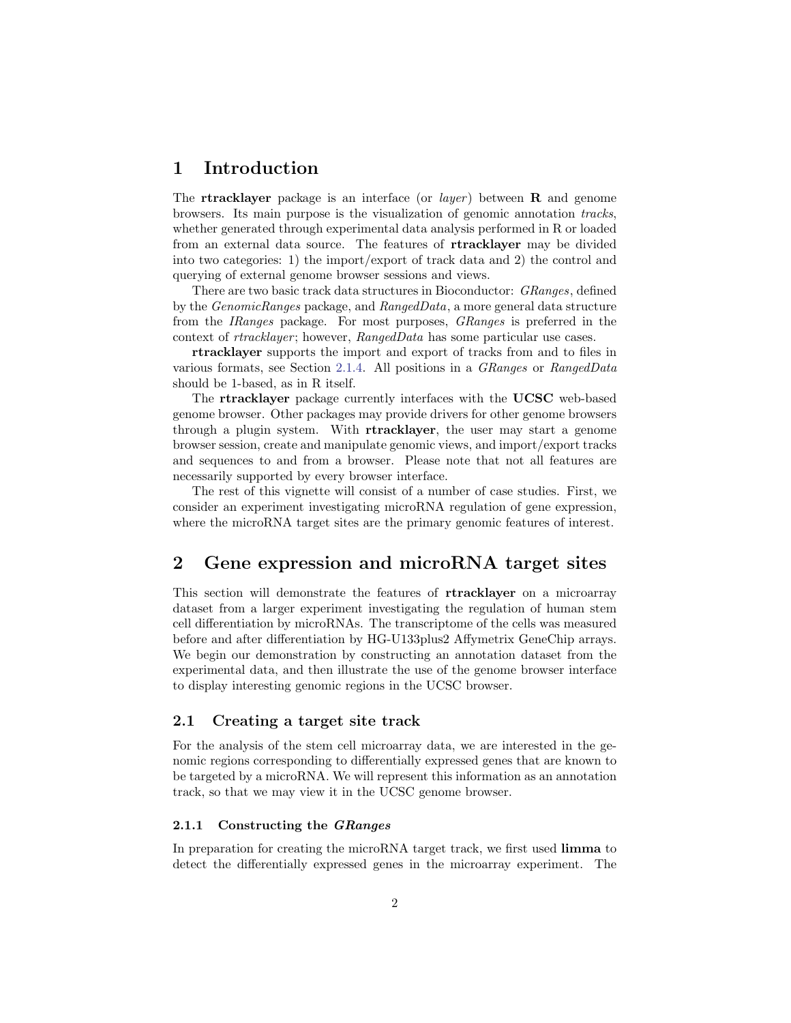# <span id="page-1-0"></span>1 Introduction

The rtracklayer package is an interface (or *layer*) between  $\bf{R}$  and genome browsers. Its main purpose is the visualization of genomic annotation tracks, whether generated through experimental data analysis performed in R or loaded from an external data source. The features of rtracklayer may be divided into two categories: 1) the import/export of track data and 2) the control and querying of external genome browser sessions and views.

There are two basic track data structures in Bioconductor: GRanges, defined by the GenomicRanges package, and RangedData, a more general data structure from the IRanges package. For most purposes, GRanges is preferred in the context of *rtracklayer*; however, *RangedData* has some particular use cases.

rtracklayer supports the import and export of tracks from and to files in various formats, see Section [2.1.4.](#page-5-0) All positions in a GRanges or RangedData should be 1-based, as in R itself.

The rtracklayer package currently interfaces with the UCSC web-based genome browser. Other packages may provide drivers for other genome browsers through a plugin system. With rtracklayer, the user may start a genome browser session, create and manipulate genomic views, and import/export tracks and sequences to and from a browser. Please note that not all features are necessarily supported by every browser interface.

The rest of this vignette will consist of a number of case studies. First, we consider an experiment investigating microRNA regulation of gene expression, where the microRNA target sites are the primary genomic features of interest.

# <span id="page-1-1"></span>2 Gene expression and microRNA target sites

This section will demonstrate the features of rtracklayer on a microarray dataset from a larger experiment investigating the regulation of human stem cell differentiation by microRNAs. The transcriptome of the cells was measured before and after differentiation by HG-U133plus2 Affymetrix GeneChip arrays. We begin our demonstration by constructing an annotation dataset from the experimental data, and then illustrate the use of the genome browser interface to display interesting genomic regions in the UCSC browser.

### <span id="page-1-2"></span>2.1 Creating a target site track

For the analysis of the stem cell microarray data, we are interested in the genomic regions corresponding to differentially expressed genes that are known to be targeted by a microRNA. We will represent this information as an annotation track, so that we may view it in the UCSC genome browser.

#### <span id="page-1-3"></span>2.1.1 Constructing the GRanges

In preparation for creating the microRNA target track, we first used limma to detect the differentially expressed genes in the microarray experiment. The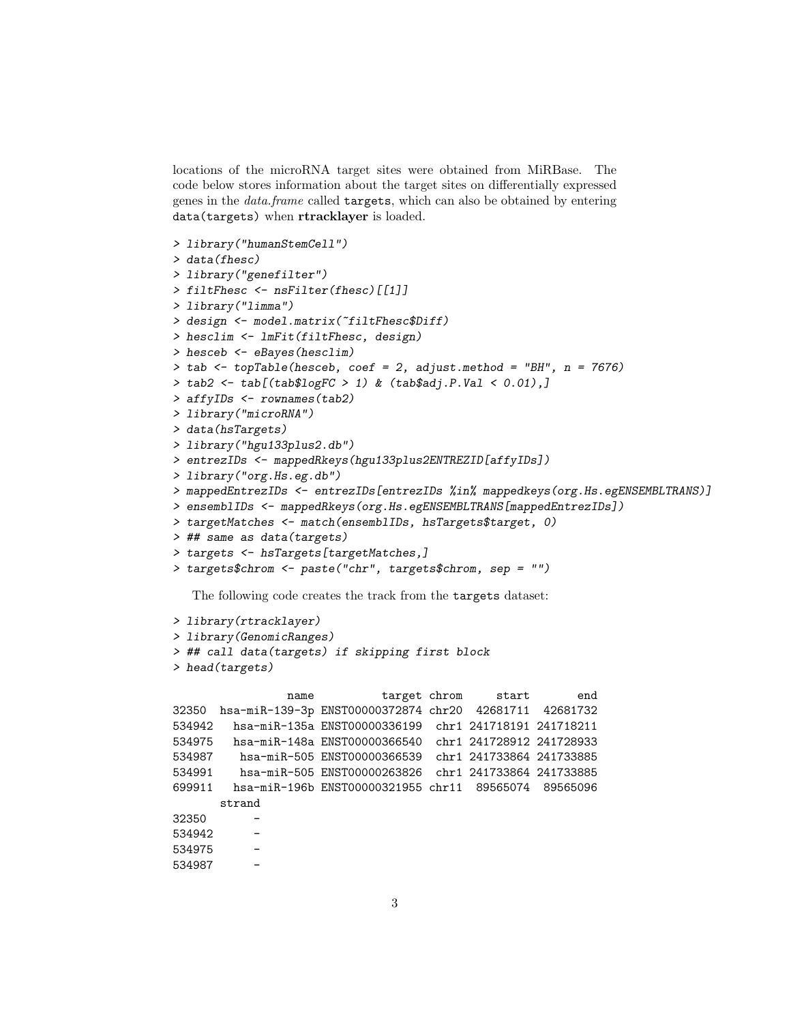locations of the microRNA target sites were obtained from MiRBase. The code below stores information about the target sites on differentially expressed genes in the data.frame called targets, which can also be obtained by entering data(targets) when rtracklayer is loaded.

```
> library("humanStemCell")
> data(fhesc)
> library("genefilter")
> filtFhesc <- nsFilter(fhesc)[[1]]
> library("limma")
> design <- model.matrix(~filtFhesc$Diff)
> hesclim <- lmFit(filtFhesc, design)
> hesceb <- eBayes(hesclim)
> tab <- topTable(hesceb, coef = 2, adjust.method = "BH", n = 7676)
> tab2 <- tab[(tab$logFC > 1) & (tab$adj.P.Val < 0.01),]
> affyIDs <- rownames(tab2)
> library("microRNA")
> data(hsTargets)
> library("hgu133plus2.db")
> entrezIDs <- mappedRkeys(hgu133plus2ENTREZID[affyIDs])
> library("org.Hs.eg.db")
> mappedEntrezIDs <- entrezIDs[entrezIDs %in% mappedkeys(org.Hs.egENSEMBLTRANS)]
> ensemblIDs <- mappedRkeys(org.Hs.egENSEMBLTRANS[mappedEntrezIDs])
> targetMatches <- match(ensemblIDs, hsTargets$target, 0)
> ## same as data(targets)
> targets <- hsTargets[targetMatches,]
> targets$chrom <- paste("chr", targets$chrom, sep = "")
```
The following code creates the track from the targets dataset:

```
> library(rtracklayer)
> library(GenomicRanges)
> ## call data(targets) if skipping first block
```

```
> head(targets)
```
name target chrom start end 32350 hsa-miR-139-3p ENST00000372874 chr20 42681711 42681732 534942 hsa-miR-135a ENST00000336199 chr1 241718191 241718211 534975 hsa-miR-148a ENST00000366540 chr1 241728912 241728933 534987 hsa-miR-505 ENST00000366539 chr1 241733864 241733885 534991 hsa-miR-505 ENST00000263826 chr1 241733864 241733885 699911 hsa-miR-196b ENST00000321955 chr11 89565074 89565096 strand 32350 534942 - 534975 - 534987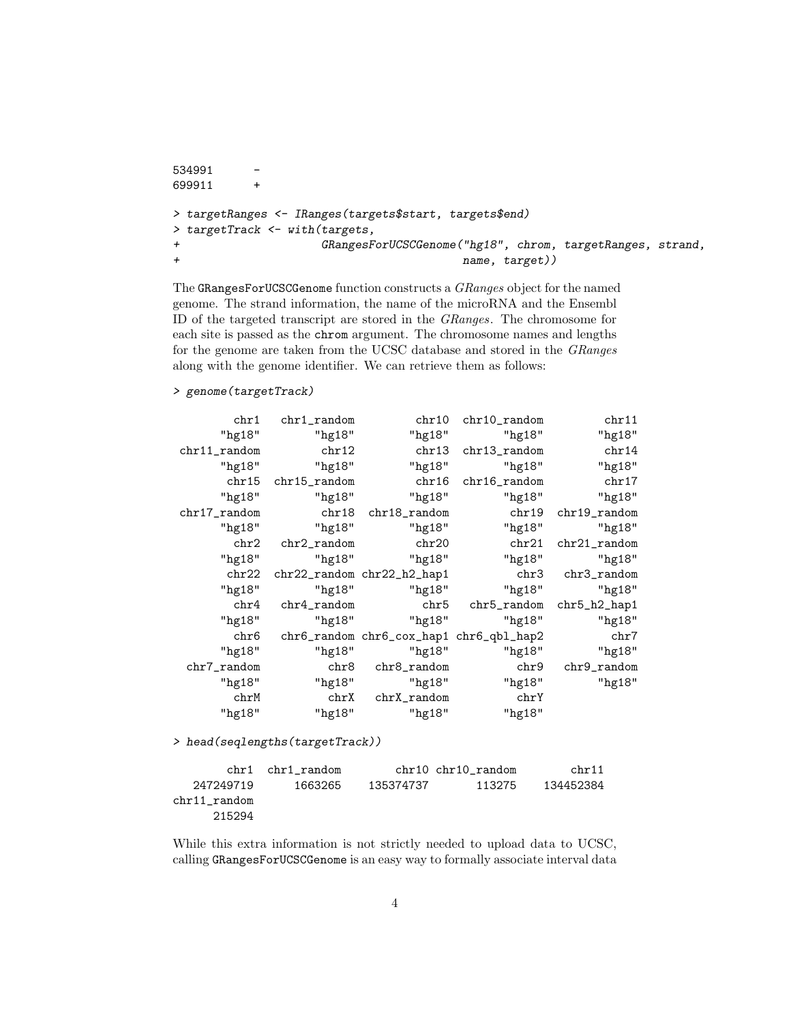```
534991 -
699911 +
> targetRanges <- IRanges(targets$start, targets$end)
> targetTrack <- with(targets,
+ GRangesForUCSCGenome("hg18", chrom, targetRanges, strand,
+ name, target))
```
The GRangesForUCSCGenome function constructs a GRanges object for the named genome. The strand information, the name of the microRNA and the Ensembl ID of the targeted transcript are stored in the GRanges. The chromosome for each site is passed as the chrom argument. The chromosome names and lengths for the genome are taken from the UCSC database and stored in the GRanges along with the genome identifier. We can retrieve them as follows:

```
> genome(targetTrack)
```

| chr1            | chr1_random        | chr10                      | $chr10$ _random                         | chr11           |
|-----------------|--------------------|----------------------------|-----------------------------------------|-----------------|
| "hg18"          | "hg18"             | "hg18"                     | "hg18"                                  | "hg18"          |
| chr11_random    | ${\rm chr}$ 12     | chr13                      | chr13_random                            | chr14           |
| " $hg18$ "      | "hg18"             | " $hg18$ "                 | "hg18"                                  | "hg18"          |
|                 | chr15 chr15_random |                            | chr16 chr16_random                      | chr17           |
| $"$ hg $18"$    | "hg18"             | " $hg18"$                  | "hg18"                                  | "hg18"          |
| $chr17$ _random |                    |                            |                                         | chr19_random    |
| "hg18"          | "hg18"             | $"$ hg $18"$               | "hg18"                                  | "hg18"          |
| chr2            | $chr2$ _random     | chr20                      | chr21                                   | $chr21$ _random |
| " $hg18$ "      | " $hg18"$          | $"$ hg $18"$               | "hg18"                                  | "hg18"          |
| chr22           |                    | chr22_random chr22_h2_hap1 | chr3                                    | chr3_random     |
| "hg18"          | "hg18"             | "hg18"                     | "hg18"                                  | "hg18"          |
| ${\rm chr}4$    | $chr4$ _random     |                            | chr5 chr5_random                        | chr5_h2_hap1    |
| " $hg18"$       |                    | "hg18" "hg18"              | "hg18"                                  | "hg18"          |
| ${\rm chr6}$    |                    |                            | chr6_random chr6_cox_hap1 chr6_qbl_hap2 | chr7            |
| "hg18"          | " $hg18"$          | "hg18"                     | " $hg18"$                               | "hg18"          |
| chr7_random     |                    | chr8 chr8_random           | chr9                                    | chr9_random     |
| "hg18"          |                    | "hg18" "hg18"              | " $hg18"$                               | "hg18"          |
| chrM            |                    | chrX chrX_random           | chrY                                    |                 |
| "hg18"          | "hg18"             | " $hg18"$                  | "hg18"                                  |                 |

> head(seqlengths(targetTrack))

|              | chr1 chr1 random |           | chr10 chr10 random | chr11     |
|--------------|------------------|-----------|--------------------|-----------|
| 247249719    | 1663265          | 135374737 | 113275             | 134452384 |
| chr11 random |                  |           |                    |           |
| 215294       |                  |           |                    |           |

While this extra information is not strictly needed to upload data to UCSC, calling GRangesForUCSCGenome is an easy way to formally associate interval data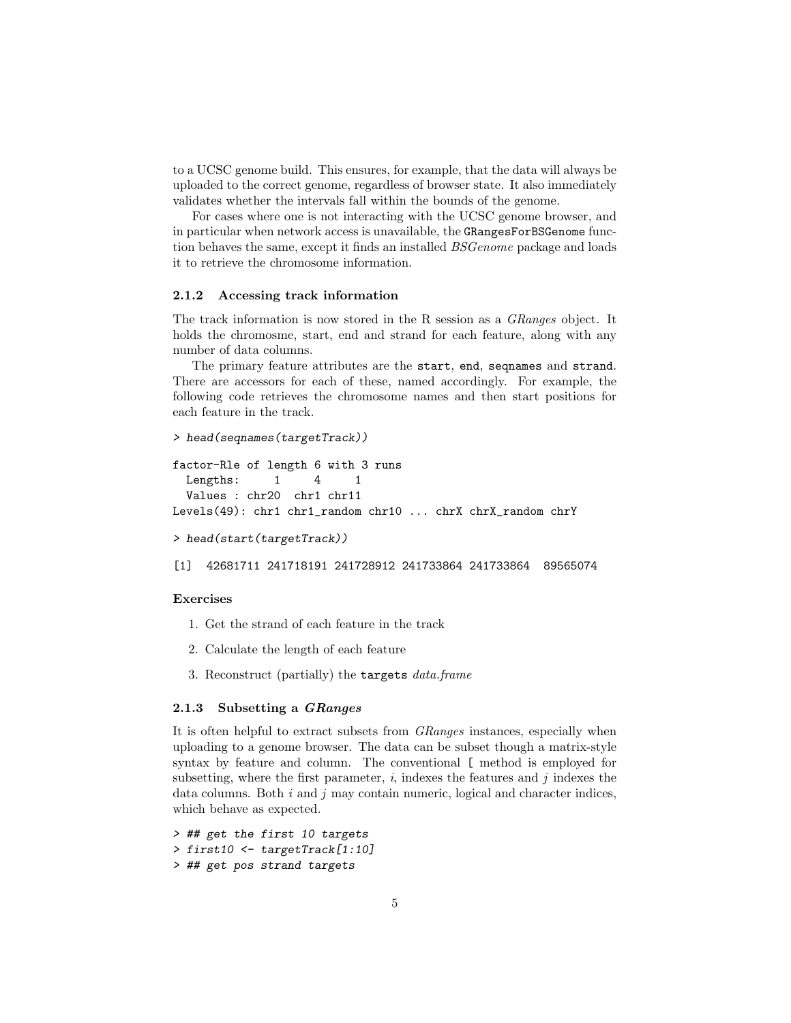to a UCSC genome build. This ensures, for example, that the data will always be uploaded to the correct genome, regardless of browser state. It also immediately validates whether the intervals fall within the bounds of the genome.

For cases where one is not interacting with the UCSC genome browser, and in particular when network access is unavailable, the GRangesForBSGenome function behaves the same, except it finds an installed BSGenome package and loads it to retrieve the chromosome information.

#### <span id="page-4-0"></span>2.1.2 Accessing track information

The track information is now stored in the R session as a GRanges object. It holds the chromosme, start, end and strand for each feature, along with any number of data columns.

The primary feature attributes are the start, end, seqnames and strand. There are accessors for each of these, named accordingly. For example, the following code retrieves the chromosome names and then start positions for each feature in the track.

```
> head(seqnames(targetTrack))
factor-Rle of length 6 with 3 runs
 Lengths: 1 \t 4 \t 1Values : chr20 chr1 chr11
Levels(49): chr1 chr1_random chr10 ... chrX chrX_random chrY
> head(start(targetTrack))
[1] 42681711 241718191 241728912 241733864 241733864 89565074
```
#### Exercises

- 1. Get the strand of each feature in the track
- 2. Calculate the length of each feature
- 3. Reconstruct (partially) the targets data.frame

#### <span id="page-4-1"></span>2.1.3 Subsetting a GRanges

It is often helpful to extract subsets from GRanges instances, especially when uploading to a genome browser. The data can be subset though a matrix-style syntax by feature and column. The conventional [ method is employed for subsetting, where the first parameter, i, indexes the features and j indexes the data columns. Both  $i$  and  $j$  may contain numeric, logical and character indices, which behave as expected.

```
> ## get the first 10 targets
> first10 <- targetTrack[1:10]
> ## get pos strand targets
```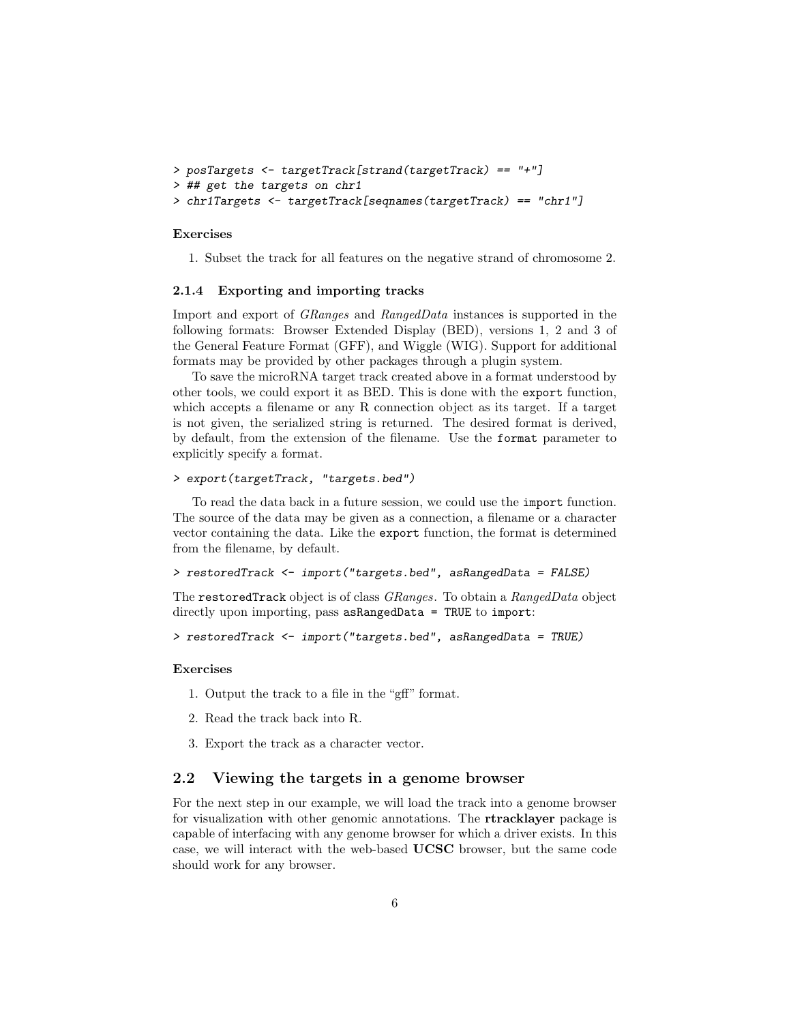```
> posTargets <- targetTrack[strand(targetTrack) == "+"]
> ## get the targets on chr1
> chr1Targets <- targetTrack[seqnames(targetTrack) == "chr1"]
```
#### Exercises

1. Subset the track for all features on the negative strand of chromosome 2.

#### <span id="page-5-0"></span>2.1.4 Exporting and importing tracks

Import and export of GRanges and RangedData instances is supported in the following formats: Browser Extended Display (BED), versions 1, 2 and 3 of the General Feature Format (GFF), and Wiggle (WIG). Support for additional formats may be provided by other packages through a plugin system.

To save the microRNA target track created above in a format understood by other tools, we could export it as BED. This is done with the export function, which accepts a filename or any R connection object as its target. If a target is not given, the serialized string is returned. The desired format is derived, by default, from the extension of the filename. Use the format parameter to explicitly specify a format.

```
> export(targetTrack, "targets.bed")
```
To read the data back in a future session, we could use the import function. The source of the data may be given as a connection, a filename or a character vector containing the data. Like the export function, the format is determined from the filename, by default.

```
> restoredTrack <- import("targets.bed", asRangedData = FALSE)
```
The restoredTrack object is of class GRanges. To obtain a RangedData object directly upon importing, pass asRangedData = TRUE to import:

```
> restoredTrack <- import("targets.bed", asRangedData = TRUE)
```
#### Exercises

- 1. Output the track to a file in the "gff" format.
- 2. Read the track back into R.
- 3. Export the track as a character vector.

#### <span id="page-5-1"></span>2.2 Viewing the targets in a genome browser

For the next step in our example, we will load the track into a genome browser for visualization with other genomic annotations. The rtracklayer package is capable of interfacing with any genome browser for which a driver exists. In this case, we will interact with the web-based UCSC browser, but the same code should work for any browser.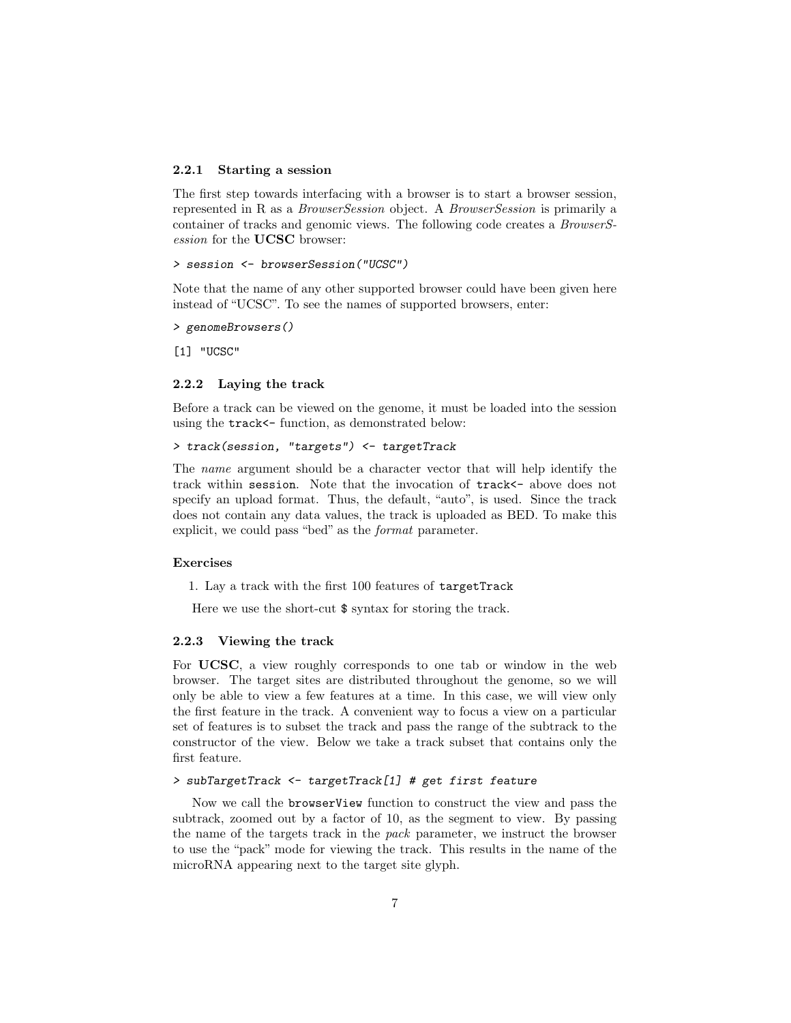#### <span id="page-6-0"></span>2.2.1 Starting a session

The first step towards interfacing with a browser is to start a browser session, represented in R as a BrowserSession object. A BrowserSession is primarily a container of tracks and genomic views. The following code creates a BrowserSession for the UCSC browser:

#### > session <- browserSession("UCSC")

Note that the name of any other supported browser could have been given here instead of "UCSC". To see the names of supported browsers, enter:

```
> genomeBrowsers()
```
[1] "UCSC"

#### <span id="page-6-1"></span>2.2.2 Laying the track

Before a track can be viewed on the genome, it must be loaded into the session using the track  $\leftarrow$  function, as demonstrated below:

```
> track(session, "targets") <- targetTrack
```
The name argument should be a character vector that will help identify the track within session. Note that the invocation of track<- above does not specify an upload format. Thus, the default, "auto", is used. Since the track does not contain any data values, the track is uploaded as BED. To make this explicit, we could pass "bed" as the format parameter.

#### Exercises

1. Lay a track with the first 100 features of targetTrack

Here we use the short-cut \$ syntax for storing the track.

#### <span id="page-6-2"></span>2.2.3 Viewing the track

For UCSC, a view roughly corresponds to one tab or window in the web browser. The target sites are distributed throughout the genome, so we will only be able to view a few features at a time. In this case, we will view only the first feature in the track. A convenient way to focus a view on a particular set of features is to subset the track and pass the range of the subtrack to the constructor of the view. Below we take a track subset that contains only the first feature.

#### > subTargetTrack <- targetTrack[1] # get first feature

Now we call the browserView function to construct the view and pass the subtrack, zoomed out by a factor of 10, as the segment to view. By passing the name of the targets track in the pack parameter, we instruct the browser to use the "pack" mode for viewing the track. This results in the name of the microRNA appearing next to the target site glyph.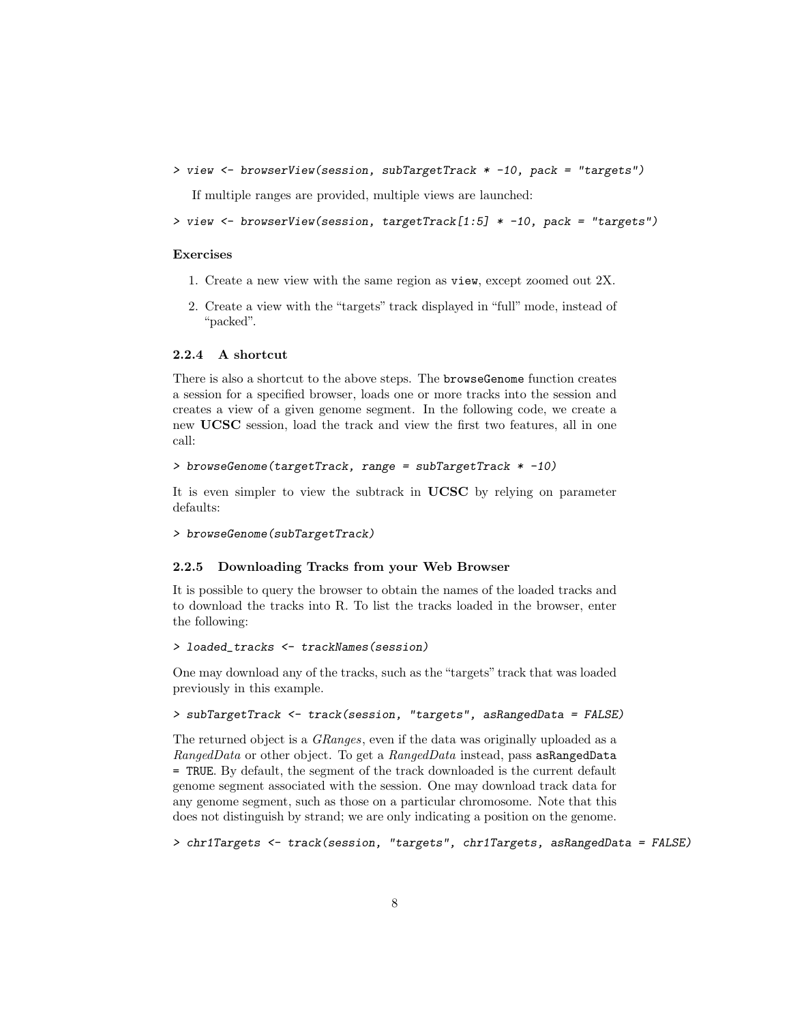> view <- browserView(session, subTargetTrack \* -10, pack = "targets")

If multiple ranges are provided, multiple views are launched:

```
> view <- browserView(session, targetTrack[1:5] * -10, pack = "targets")
```
#### Exercises

- 1. Create a new view with the same region as view, except zoomed out 2X.
- 2. Create a view with the "targets" track displayed in "full" mode, instead of "packed".

#### <span id="page-7-0"></span>2.2.4 A shortcut

There is also a shortcut to the above steps. The browseGenome function creates a session for a specified browser, loads one or more tracks into the session and creates a view of a given genome segment. In the following code, we create a new UCSC session, load the track and view the first two features, all in one call:

```
> browseGenome(targetTrack, range = subTargetTrack * -10)
```
It is even simpler to view the subtrack in UCSC by relying on parameter defaults:

```
> browseGenome(subTargetTrack)
```
#### <span id="page-7-1"></span>2.2.5 Downloading Tracks from your Web Browser

It is possible to query the browser to obtain the names of the loaded tracks and to download the tracks into R. To list the tracks loaded in the browser, enter the following:

```
> loaded_tracks <- trackNames(session)
```
One may download any of the tracks, such as the "targets" track that was loaded previously in this example.

```
> subTargetTrack <- track(session, "targets", asRangedData = FALSE)
```
The returned object is a GRanges, even if the data was originally uploaded as a RangedData or other object. To get a RangedData instead, pass asRangedData = TRUE. By default, the segment of the track downloaded is the current default genome segment associated with the session. One may download track data for any genome segment, such as those on a particular chromosome. Note that this does not distinguish by strand; we are only indicating a position on the genome.

```
> chr1Targets <- track(session, "targets", chr1Targets, asRangedData = FALSE)
```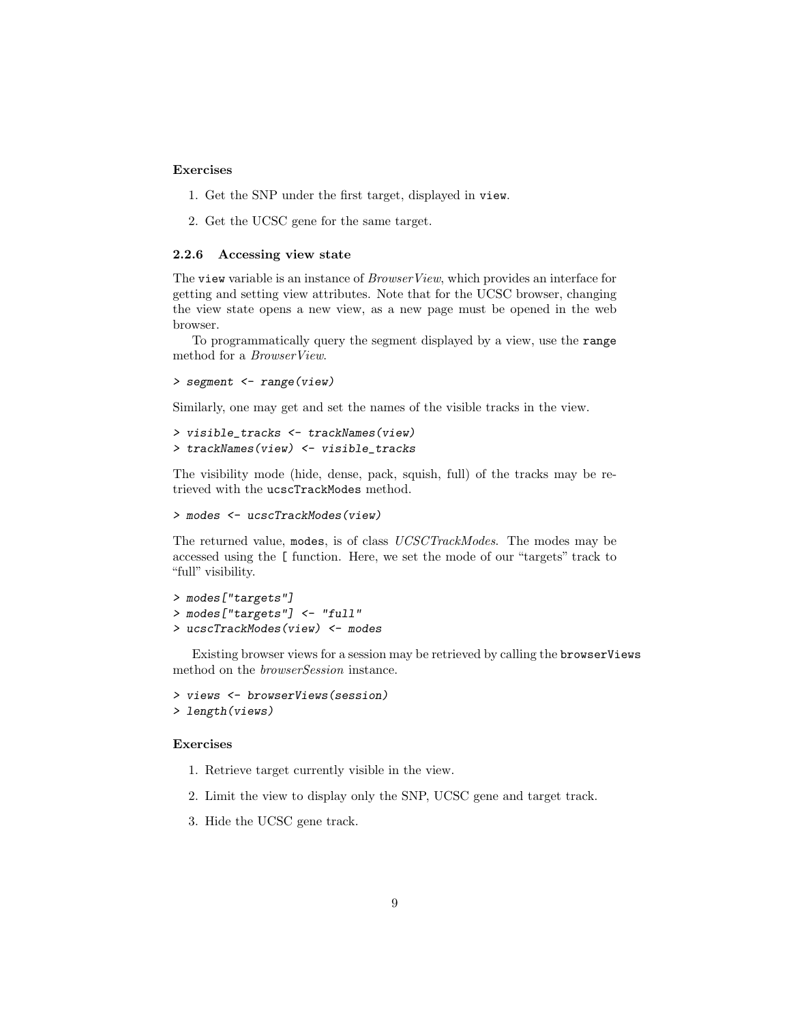#### Exercises

- 1. Get the SNP under the first target, displayed in view.
- 2. Get the UCSC gene for the same target.

#### <span id="page-8-0"></span>2.2.6 Accessing view state

The view variable is an instance of *BrowserView*, which provides an interface for getting and setting view attributes. Note that for the UCSC browser, changing the view state opens a new view, as a new page must be opened in the web browser.

To programmatically query the segment displayed by a view, use the range method for a BrowserView.

> segment <- range(view)

Similarly, one may get and set the names of the visible tracks in the view.

```
> visible_tracks <- trackNames(view)
> trackNames(view) <- visible_tracks
```
The visibility mode (hide, dense, pack, squish, full) of the tracks may be retrieved with the ucscTrackModes method.

```
> modes <- ucscTrackModes(view)
```
The returned value, modes, is of class UCSCTrackModes. The modes may be accessed using the [ function. Here, we set the mode of our "targets" track to "full" visibility.

```
> modes["targets"]
> modes["targets"] <- "full"
> ucscTrackModes(view) <- modes
```
Existing browser views for a session may be retrieved by calling the browserViews method on the browserSession instance.

```
> views <- browserViews(session)
> length(views)
```
#### Exercises

- 1. Retrieve target currently visible in the view.
- 2. Limit the view to display only the SNP, UCSC gene and target track.
- 3. Hide the UCSC gene track.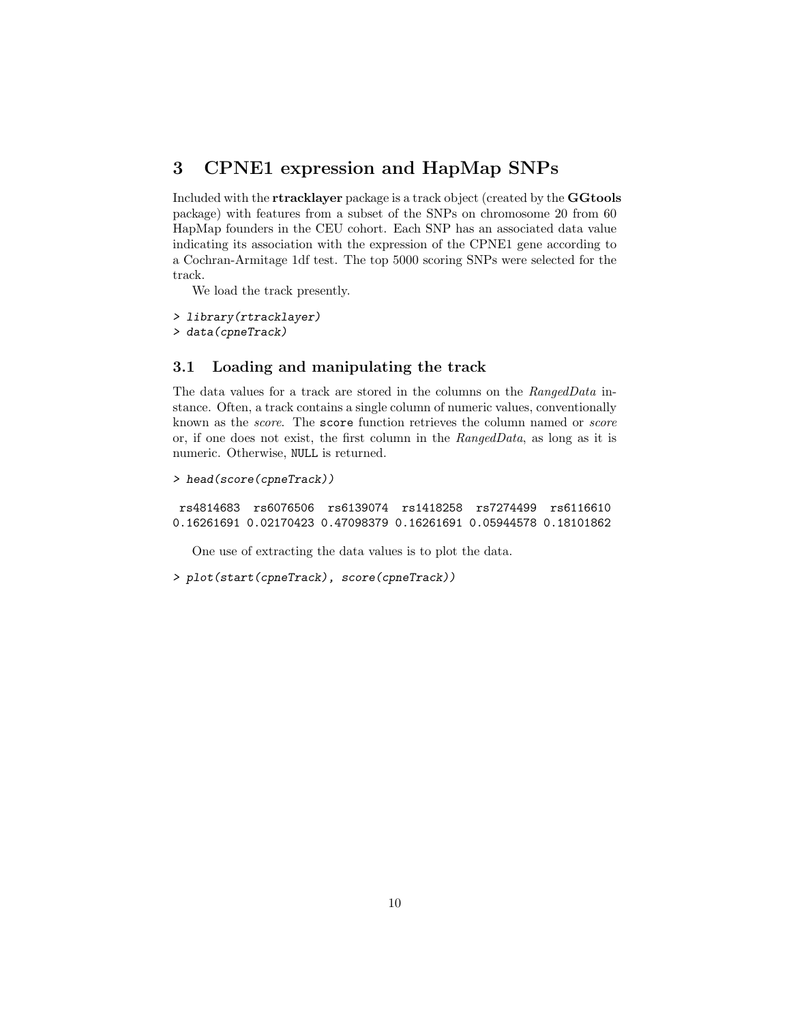# <span id="page-9-0"></span>3 CPNE1 expression and HapMap SNPs

Included with the rtracklayer package is a track object (created by the GGtools package) with features from a subset of the SNPs on chromosome 20 from 60 HapMap founders in the CEU cohort. Each SNP has an associated data value indicating its association with the expression of the CPNE1 gene according to a Cochran-Armitage 1df test. The top 5000 scoring SNPs were selected for the track.

We load the track presently.

> library(rtracklayer)

> data(cpneTrack)

### <span id="page-9-1"></span>3.1 Loading and manipulating the track

The data values for a track are stored in the columns on the RangedData instance. Often, a track contains a single column of numeric values, conventionally known as the score. The score function retrieves the column named or score or, if one does not exist, the first column in the RangedData, as long as it is numeric. Otherwise, NULL is returned.

```
> head(score(cpneTrack))
```
rs4814683 rs6076506 rs6139074 rs1418258 rs7274499 rs6116610 0.16261691 0.02170423 0.47098379 0.16261691 0.05944578 0.18101862

One use of extracting the data values is to plot the data.

> plot(start(cpneTrack), score(cpneTrack))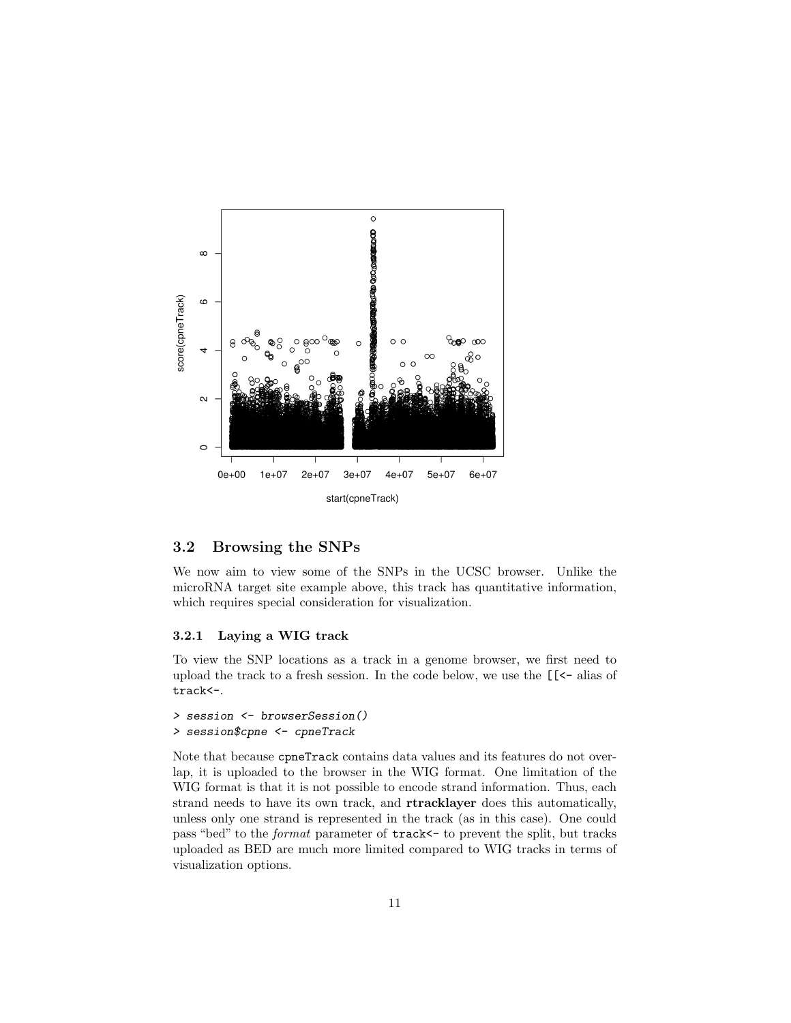

### <span id="page-10-0"></span>3.2 Browsing the SNPs

We now aim to view some of the SNPs in the UCSC browser. Unlike the microRNA target site example above, this track has quantitative information, which requires special consideration for visualization.

#### <span id="page-10-1"></span>3.2.1 Laying a WIG track

To view the SNP locations as a track in a genome browser, we first need to upload the track to a fresh session. In the code below, we use the [[<- alias of track<-.

```
> session <- browserSession()
> session$cpne <- cpneTrack
```
Note that because cpneTrack contains data values and its features do not overlap, it is uploaded to the browser in the WIG format. One limitation of the WIG format is that it is not possible to encode strand information. Thus, each strand needs to have its own track, and rtracklayer does this automatically, unless only one strand is represented in the track (as in this case). One could pass "bed" to the format parameter of track<- to prevent the split, but tracks uploaded as BED are much more limited compared to WIG tracks in terms of visualization options.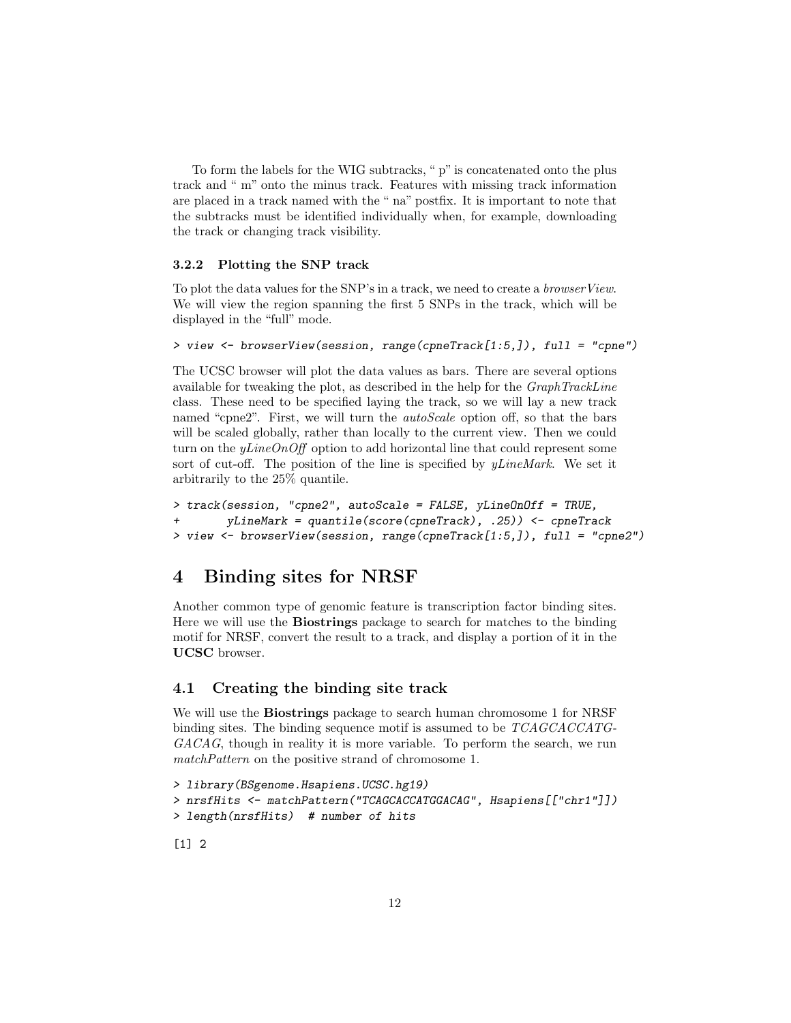To form the labels for the WIG subtracks, " p" is concatenated onto the plus track and " m" onto the minus track. Features with missing track information are placed in a track named with the " na" postfix. It is important to note that the subtracks must be identified individually when, for example, downloading the track or changing track visibility.

#### <span id="page-11-0"></span>3.2.2 Plotting the SNP track

To plot the data values for the SNP's in a track, we need to create a browserView. We will view the region spanning the first 5 SNPs in the track, which will be displayed in the "full" mode.

```
> view <- browserView(session, range(cpneTrack[1:5,]), full = "cpne")
```
The UCSC browser will plot the data values as bars. There are several options available for tweaking the plot, as described in the help for the GraphTrackLine class. These need to be specified laying the track, so we will lay a new track named "cpne2". First, we will turn the *autoScale* option off, so that the bars will be scaled globally, rather than locally to the current view. Then we could turn on the  $yLineOnOff$  option to add horizontal line that could represent some sort of cut-off. The position of the line is specified by  $\ell$ *kineMark*. We set it arbitrarily to the 25% quantile.

```
> track(session, "cpne2", autoScale = FALSE, yLineOnOff = TRUE,
       yLineMark = quantile(score(cppeTrack), .25)) <- cpneTrack
> view <- browserView(session, range(cpneTrack[1:5,]), full = "cpne2")
```
# <span id="page-11-1"></span>4 Binding sites for NRSF

Another common type of genomic feature is transcription factor binding sites. Here we will use the Biostrings package to search for matches to the binding motif for NRSF, convert the result to a track, and display a portion of it in the UCSC browser.

### <span id="page-11-2"></span>4.1 Creating the binding site track

We will use the Biostrings package to search human chromosome 1 for NRSF binding sites. The binding sequence motif is assumed to be TCAGCACCATG-GACAG, though in reality it is more variable. To perform the search, we run matchPattern on the positive strand of chromosome 1.

```
> library(BSgenome.Hsapiens.UCSC.hg19)
> nrsfHits <- matchPattern("TCAGCACCATGGACAG", Hsapiens[["chr1"]])
> length(nrsfHits) # number of hits
```
[1] 2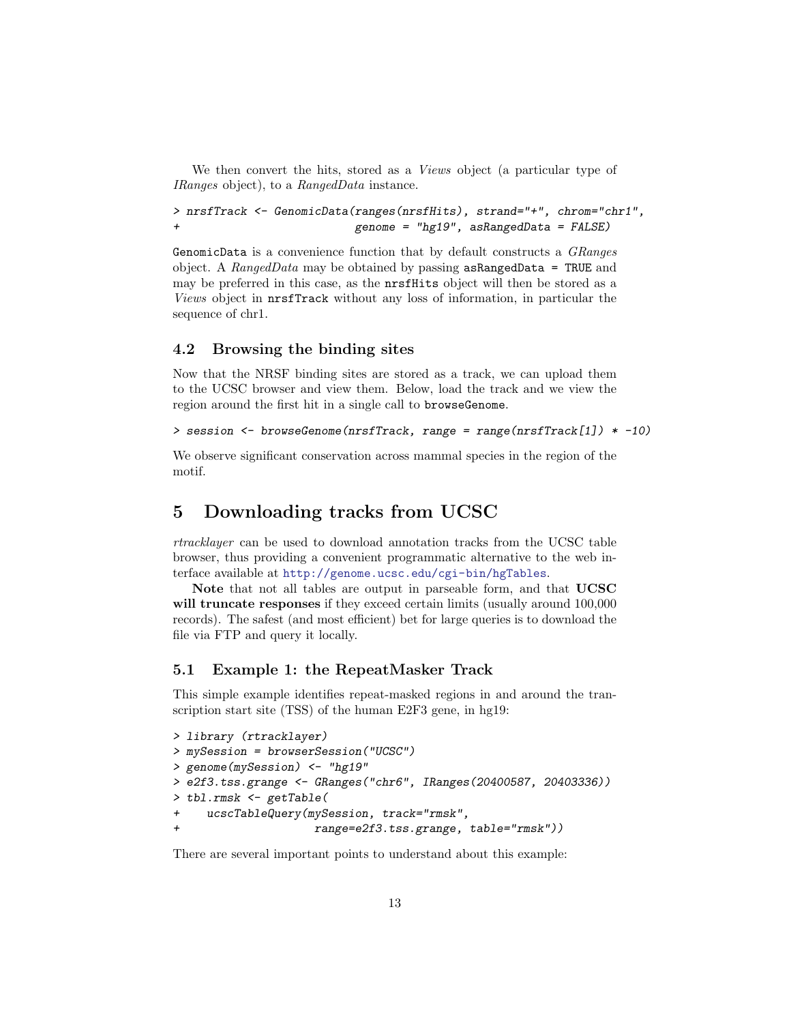We then convert the hits, stored as a *Views* object (a particular type of IRanges object), to a RangedData instance.

```
> nrsfTrack <- GenomicData(ranges(nrsfHits), strand="+", chrom="chr1",
+ genome = "hg19", asRangedData = FALSE)
```
GenomicData is a convenience function that by default constructs a GRanges object. A RangedData may be obtained by passing asRangedData = TRUE and may be preferred in this case, as the nrsfHits object will then be stored as a Views object in nrsfTrack without any loss of information, in particular the sequence of chr1.

### <span id="page-12-0"></span>4.2 Browsing the binding sites

Now that the NRSF binding sites are stored as a track, we can upload them to the UCSC browser and view them. Below, load the track and we view the region around the first hit in a single call to browseGenome.

```
> session <- browseGenome(nrsfTrack, range = range(nrsfTrack[1]) * -10)
```
We observe significant conservation across mammal species in the region of the motif.

# <span id="page-12-1"></span>5 Downloading tracks from UCSC

rtracklayer can be used to download annotation tracks from the UCSC table browser, thus providing a convenient programmatic alternative to the web interface available at <http://genome.ucsc.edu/cgi-bin/hgTables>.

Note that not all tables are output in parseable form, and that UCSC will truncate responses if they exceed certain limits (usually around  $100,000$ records). The safest (and most efficient) bet for large queries is to download the file via FTP and query it locally.

### <span id="page-12-2"></span>5.1 Example 1: the RepeatMasker Track

This simple example identifies repeat-masked regions in and around the transcription start site (TSS) of the human E2F3 gene, in hg19:

```
> library (rtracklayer)
> mySession = browserSession("UCSC")
> genome(mySession) <- "hg19"
> e2f3.tss.grange <- GRanges("chr6", IRanges(20400587, 20403336))
> tbl.rmsk <- getTable(
+ ucscTableQuery(mySession, track="rmsk",
+ range=e2f3.tss.grange, table="rmsk"))
```
There are several important points to understand about this example: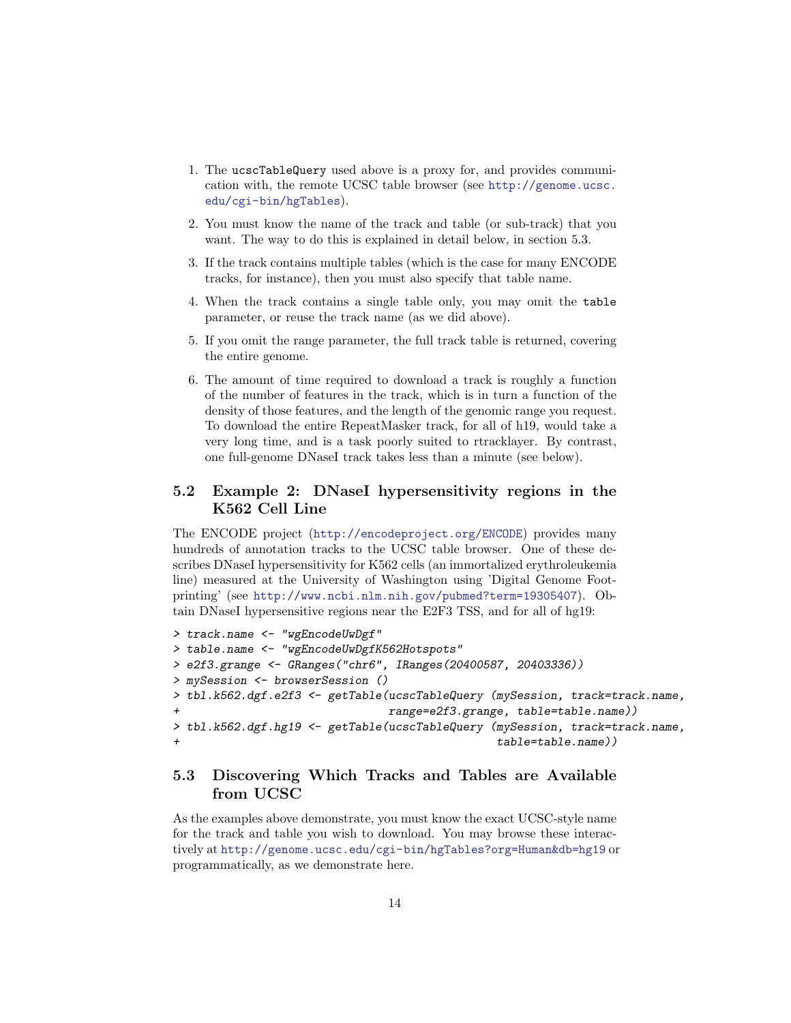- 1. The ucscTableQuery used above is a proxy for, and provides communication with, the remote UCSC table browser (see [http://genome.ucsc.](http://genome.ucsc.edu/cgi-bin/hgTables) [edu/cgi-bin/hgTables](http://genome.ucsc.edu/cgi-bin/hgTables)).
- 2. You must know the name of the track and table (or sub-track) that you want. The way to do this is explained in detail below, in section 5.3.
- 3. If the track contains multiple tables (which is the case for many ENCODE tracks, for instance), then you must also specify that table name.
- 4. When the track contains a single table only, you may omit the table parameter, or reuse the track name (as we did above).
- 5. If you omit the range parameter, the full track table is returned, covering the entire genome.
- 6. The amount of time required to download a track is roughly a function of the number of features in the track, which is in turn a function of the density of those features, and the length of the genomic range you request. To download the entire RepeatMasker track, for all of h19, would take a very long time, and is a task poorly suited to rtracklayer. By contrast, one full-genome DNaseI track takes less than a minute (see below).

## <span id="page-13-0"></span>5.2 Example 2: DNaseI hypersensitivity regions in the K562 Cell Line

The ENCODE project (<http://encodeproject.org/ENCODE>) provides many hundreds of annotation tracks to the UCSC table browser. One of these describes DNaseI hypersensitivity for K562 cells (an immortalized erythroleukemia line) measured at the University of Washington using 'Digital Genome Footprinting' (see <http://www.ncbi.nlm.nih.gov/pubmed?term=19305407>). Obtain DNaseI hypersensitive regions near the E2F3 TSS, and for all of hg19:

```
> track.name <- "wgEncodeUwDgf"
> table.name <- "wgEncodeUwDgfK562Hotspots"
> e2f3.grange <- GRanges("chr6", IRanges(20400587, 20403336))
> mySession <- browserSession ()
> tbl.k562.dgf.e2f3 <- getTable(ucscTableQuery (mySession, track=track.name,
+ range=e2f3.grange, table=table.name))
> tbl.k562.dgf.hg19 <- getTable(ucscTableQuery (mySession, track=track.name,
+ table=table.name))
```
# <span id="page-13-1"></span>5.3 Discovering Which Tracks and Tables are Available from UCSC

As the examples above demonstrate, you must know the exact UCSC-style name for the track and table you wish to download. You may browse these interactively at <http://genome.ucsc.edu/cgi-bin/hgTables?org=Human&db=hg19> or programmatically, as we demonstrate here.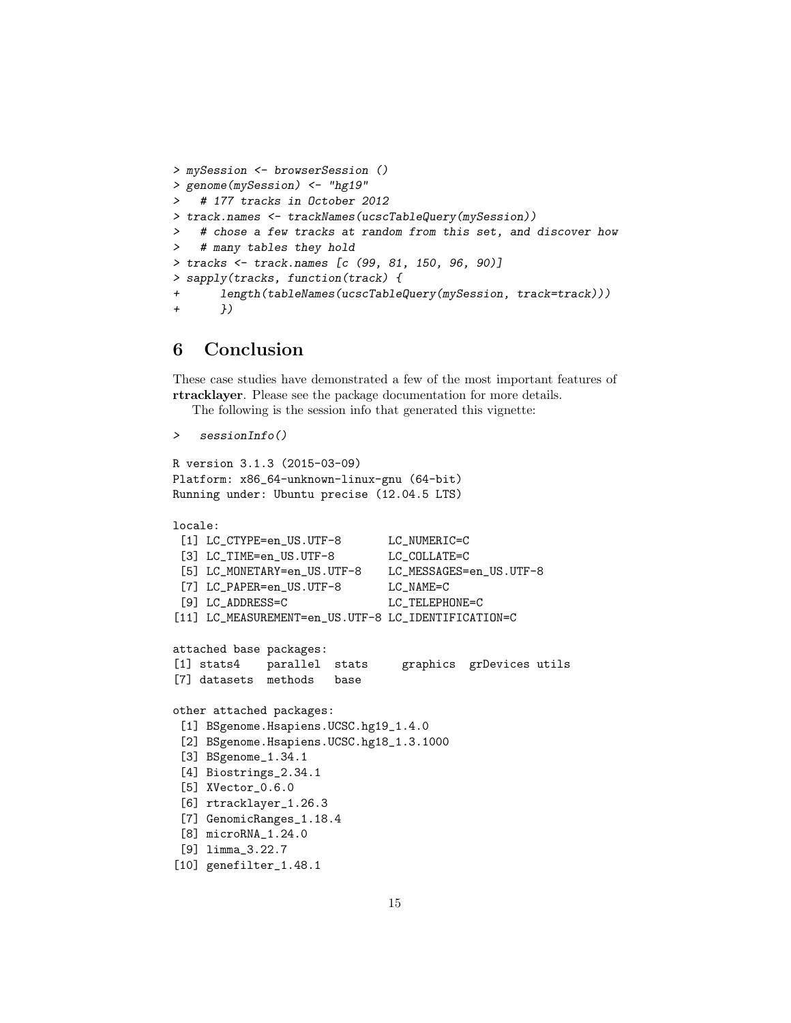```
> mySession <- browserSession ()
> genome(mySession) <- "hg19"
   # 177 tracks in October 2012
> track.names <- trackNames(ucscTableQuery(mySession))
   # chose a few tracks at random from this set, and discover how
> # many tables they hold
> tracks <- track.names [c (99, 81, 150, 96, 90)]
> sapply(tracks, function(track) {
+ length(tableNames(ucscTableQuery(mySession, track=track)))
+ })
```
# <span id="page-14-0"></span>6 Conclusion

These case studies have demonstrated a few of the most important features of rtracklayer. Please see the package documentation for more details.

The following is the session info that generated this vignette:

```
> sessionInfo()
```

```
R version 3.1.3 (2015-03-09)
Platform: x86_64-unknown-linux-gnu (64-bit)
Running under: Ubuntu precise (12.04.5 LTS)
```

```
locale:
```

```
[1] LC_CTYPE=en_US.UTF-8 LC_NUMERIC=C
 [3] LC_TIME=en_US.UTF-8 LC_COLLATE=C
 [5] LC_MONETARY=en_US.UTF-8 LC_MESSAGES=en_US.UTF-8
 [7] LC_PAPER=en_US.UTF-8 LC_NAME=C
 [9] LC_ADDRESS=C LC_TELEPHONE=C
[11] LC_MEASUREMENT=en_US.UTF-8 LC_IDENTIFICATION=C
attached base packages:
[1] stats4 parallel stats graphics grDevices utils
[7] datasets methods base
other attached packages:
 [1] BSgenome.Hsapiens.UCSC.hg19_1.4.0
 [2] BSgenome.Hsapiens.UCSC.hg18_1.3.1000
 [3] BSgenome_1.34.1
 [4] Biostrings_2.34.1
 [5] XVector_0.6.0
 [6] rtracklayer_1.26.3
 [7] GenomicRanges_1.18.4
 [8] microRNA_1.24.0
 [9] limma_3.22.7
[10] genefilter_1.48.1
```